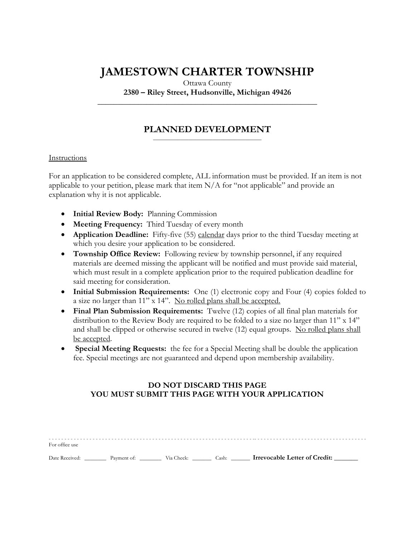# **JAMESTOWN CHARTER TOWNSHIP**

Ottawa County

**2380 – Riley Street, Hudsonville, Michigan 49426 \_\_\_\_\_\_\_\_\_\_\_\_\_\_\_\_\_\_\_\_\_\_\_\_\_\_\_\_\_\_\_\_\_\_\_\_\_\_\_\_\_\_\_\_\_\_\_\_\_\_\_\_\_\_**

#### **PLANNED DEVELOPMENT** \_\_\_\_\_\_\_\_\_\_\_\_\_\_\_\_\_\_\_\_\_\_\_\_\_\_\_\_\_\_\_\_\_\_\_\_\_\_\_\_

#### Instructions

For an application to be considered complete, ALL information must be provided. If an item is not applicable to your petition, please mark that item  $N/A$  for "not applicable" and provide an explanation why it is not applicable.

- **Initial Review Body:** Planning Commission
- **Meeting Frequency:** Third Tuesday of every month
- **Application Deadline:** Fifty-five (55) calendar days prior to the third Tuesday meeting at which you desire your application to be considered.
- **Township Office Review:** Following review by township personnel, if any required materials are deemed missing the applicant will be notified and must provide said material, which must result in a complete application prior to the required publication deadline for said meeting for consideration.
- **Initial Submission Requirements:** One (1) electronic copy and Four (4) copies folded to a size no larger than 11" x 14". No rolled plans shall be accepted.
- **Final Plan Submission Requirements:** Twelve (12) copies of all final plan materials for distribution to the Review Body are required to be folded to a size no larger than 11" x 14" and shall be clipped or otherwise secured in twelve (12) equal groups. No rolled plans shall be accepted.
- **Special Meeting Requests:** the fee for a Special Meeting shall be double the application fee. Special meetings are not guaranteed and depend upon membership availability.

## **DO NOT DISCARD THIS PAGE YOU MUST SUBMIT THIS PAGE WITH YOUR APPLICATION**

| For office use                        |  |       |                               |  |
|---------------------------------------|--|-------|-------------------------------|--|
| Date Received: Payment of: Via Check: |  | Cash: | Irrevocable Letter of Credit: |  |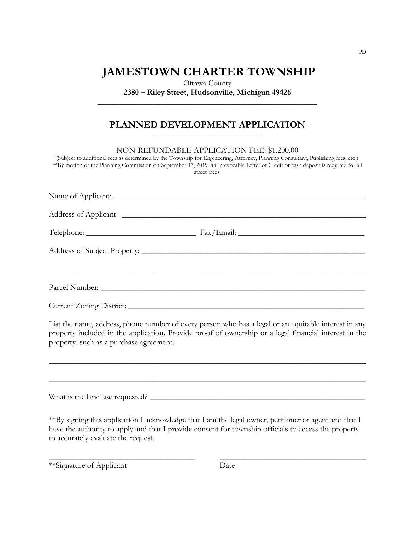## **JAMESTOWN CHARTER TOWNSHIP**

Ottawa County **2380 – Riley Street, Hudsonville, Michigan 49426**

**\_\_\_\_\_\_\_\_\_\_\_\_\_\_\_\_\_\_\_\_\_\_\_\_\_\_\_\_\_\_\_\_\_\_\_\_\_\_\_\_\_\_\_\_\_\_\_\_\_\_\_\_\_\_**

#### **PLANNED DEVELOPMENT APPLICATION** \_\_\_\_\_\_\_\_\_\_\_\_\_\_\_\_\_\_\_\_\_\_\_\_\_\_\_\_\_\_\_\_\_\_\_\_\_\_\_\_

NON-REFUNDABLE APPLICATION FEE: \$1,200.00

(Subject to additional fees as determined by the Township for Engineering, Attorney, Planning Consultant, Publishing fees, etc.) \*\*By motion of the Planning Commission on September 17, 2019, an Irrevocable Letter of Credit or cash deposit is required for all street trees.

List the name, address, phone number of every person who has a legal or an equitable interest in any property included in the application. Provide proof of ownership or a legal financial interest in the property, such as a purchase agreement.

\_\_\_\_\_\_\_\_\_\_\_\_\_\_\_\_\_\_\_\_\_\_\_\_\_\_\_\_\_\_\_\_\_\_\_\_\_\_\_\_\_\_\_\_\_\_\_\_\_\_\_\_\_\_\_\_\_\_\_\_\_\_\_\_\_\_\_\_\_\_\_\_\_\_\_\_\_\_

\_\_\_\_\_\_\_\_\_\_\_\_\_\_\_\_\_\_\_\_\_\_\_\_\_\_\_\_\_\_\_\_\_\_\_\_\_\_\_\_\_\_\_\_\_\_\_\_\_\_\_\_\_\_\_\_\_\_\_\_\_\_\_\_\_\_\_\_\_\_\_\_\_\_\_\_\_\_

What is the land use requested? \_\_\_\_\_\_\_\_\_\_\_\_\_\_\_\_\_\_\_\_\_\_\_\_\_\_\_\_\_\_\_\_\_\_\_\_\_\_\_\_\_\_\_\_\_\_\_\_\_\_\_\_\_

\*\*By signing this application I acknowledge that I am the legal owner, petitioner or agent and that I have the authority to apply and that I provide consent for township officials to access the property to accurately evaluate the request.

\_\_\_\_\_\_\_\_\_\_\_\_\_\_\_\_\_\_\_\_\_\_\_\_\_\_\_\_\_\_\_\_\_\_\_\_ \_\_\_\_\_\_\_\_\_\_\_\_\_\_\_\_\_\_\_\_\_\_\_\_\_\_\_\_\_\_\_\_\_\_\_\_

\*\*Signature of Applicant Date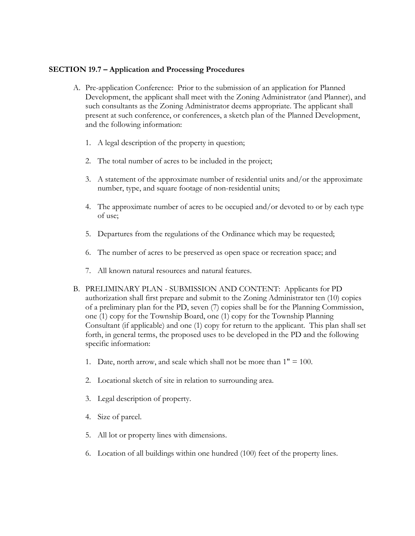## **SECTION 19.7 – Application and Processing Procedures**

- A. Pre-application Conference: Prior to the submission of an application for Planned Development, the applicant shall meet with the Zoning Administrator (and Planner), and such consultants as the Zoning Administrator deems appropriate. The applicant shall present at such conference, or conferences, a sketch plan of the Planned Development, and the following information:
	- 1. A legal description of the property in question;
	- 2. The total number of acres to be included in the project;
	- 3. A statement of the approximate number of residential units and/or the approximate number, type, and square footage of non-residential units;
	- 4. The approximate number of acres to be occupied and/or devoted to or by each type of use;
	- 5. Departures from the regulations of the Ordinance which may be requested;
	- 6. The number of acres to be preserved as open space or recreation space; and
	- 7. All known natural resources and natural features.
- B. PRELIMINARY PLAN SUBMISSION AND CONTENT: Applicants for PD authorization shall first prepare and submit to the Zoning Administrator ten (10) copies of a preliminary plan for the PD, seven (7) copies shall be for the Planning Commission, one (1) copy for the Township Board, one (1) copy for the Township Planning Consultant (if applicable) and one (1) copy for return to the applicant. This plan shall set forth, in general terms, the proposed uses to be developed in the PD and the following specific information:
	- 1. Date, north arrow, and scale which shall not be more than  $1" = 100$ .
	- 2. Locational sketch of site in relation to surrounding area.
	- 3. Legal description of property.
	- 4. Size of parcel.
	- 5. All lot or property lines with dimensions.
	- 6. Location of all buildings within one hundred (100) feet of the property lines.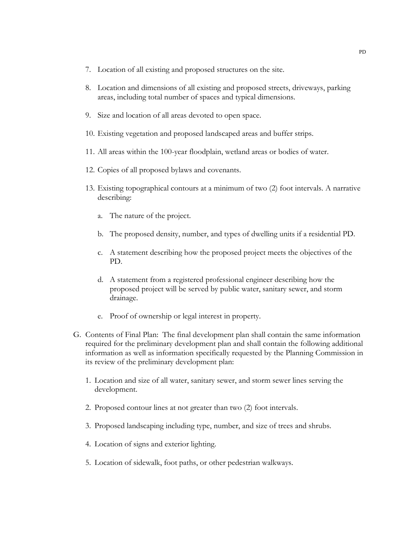- 7. Location of all existing and proposed structures on the site.
- 8. Location and dimensions of all existing and proposed streets, driveways, parking areas, including total number of spaces and typical dimensions.
- 9. Size and location of all areas devoted to open space.
- 10. Existing vegetation and proposed landscaped areas and buffer strips.
- 11. All areas within the 100-year floodplain, wetland areas or bodies of water.
- 12. Copies of all proposed bylaws and covenants.
- 13. Existing topographical contours at a minimum of two (2) foot intervals. A narrative describing:
	- a. The nature of the project.
	- b. The proposed density, number, and types of dwelling units if a residential PD.
	- c. A statement describing how the proposed project meets the objectives of the PD.
	- d. A statement from a registered professional engineer describing how the proposed project will be served by public water, sanitary sewer, and storm drainage.
	- e. Proof of ownership or legal interest in property.
- G. Contents of Final Plan: The final development plan shall contain the same information required for the preliminary development plan and shall contain the following additional information as well as information specifically requested by the Planning Commission in its review of the preliminary development plan:
	- 1. Location and size of all water, sanitary sewer, and storm sewer lines serving the development.
	- 2. Proposed contour lines at not greater than two (2) foot intervals.
	- 3. Proposed landscaping including type, number, and size of trees and shrubs.
	- 4. Location of signs and exterior lighting.
	- 5. Location of sidewalk, foot paths, or other pedestrian walkways.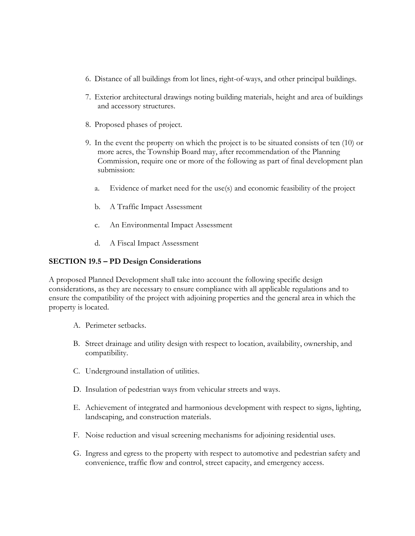- 6. Distance of all buildings from lot lines, right-of-ways, and other principal buildings.
- 7. Exterior architectural drawings noting building materials, height and area of buildings and accessory structures.
- 8. Proposed phases of project.
- 9. In the event the property on which the project is to be situated consists of ten (10) or more acres, the Township Board may, after recommendation of the Planning Commission, require one or more of the following as part of final development plan submission:
	- a. Evidence of market need for the use(s) and economic feasibility of the project
	- b. A Traffic Impact Assessment
	- c. An Environmental Impact Assessment
	- d. A Fiscal Impact Assessment

## **SECTION 19.5 – PD Design Considerations**

A proposed Planned Development shall take into account the following specific design considerations, as they are necessary to ensure compliance with all applicable regulations and to ensure the compatibility of the project with adjoining properties and the general area in which the property is located.

- A. Perimeter setbacks.
- B. Street drainage and utility design with respect to location, availability, ownership, and compatibility.
- C. Underground installation of utilities.
- D. Insulation of pedestrian ways from vehicular streets and ways.
- E. Achievement of integrated and harmonious development with respect to signs, lighting, landscaping, and construction materials.
- F. Noise reduction and visual screening mechanisms for adjoining residential uses.
- G. Ingress and egress to the property with respect to automotive and pedestrian safety and convenience, traffic flow and control, street capacity, and emergency access.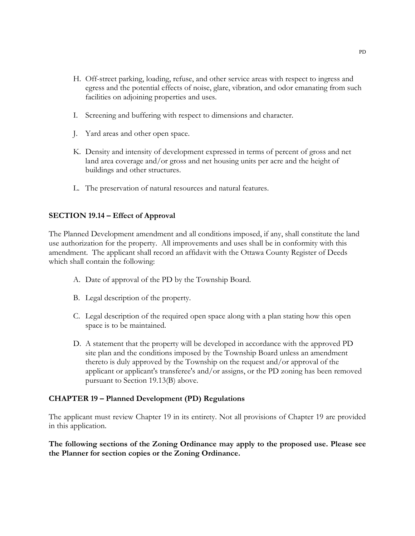- H. Off-street parking, loading, refuse, and other service areas with respect to ingress and egress and the potential effects of noise, glare, vibration, and odor emanating from such facilities on adjoining properties and uses.
- I. Screening and buffering with respect to dimensions and character.
- J. Yard areas and other open space.
- K. Density and intensity of development expressed in terms of percent of gross and net land area coverage and/or gross and net housing units per acre and the height of buildings and other structures.
- L. The preservation of natural resources and natural features.

### **SECTION 19.14 – Effect of Approval**

The Planned Development amendment and all conditions imposed, if any, shall constitute the land use authorization for the property. All improvements and uses shall be in conformity with this amendment. The applicant shall record an affidavit with the Ottawa County Register of Deeds which shall contain the following:

- A. Date of approval of the PD by the Township Board.
- B. Legal description of the property.
- C. Legal description of the required open space along with a plan stating how this open space is to be maintained.
- D. A statement that the property will be developed in accordance with the approved PD site plan and the conditions imposed by the Township Board unless an amendment thereto is duly approved by the Township on the request and/or approval of the applicant or applicant's transferee's and/or assigns, or the PD zoning has been removed pursuant to Section 19.13(B) above.

## **CHAPTER 19 – Planned Development (PD) Regulations**

The applicant must review Chapter 19 in its entirety. Not all provisions of Chapter 19 are provided in this application.

**The following sections of the Zoning Ordinance may apply to the proposed use. Please see the Planner for section copies or the Zoning Ordinance.**